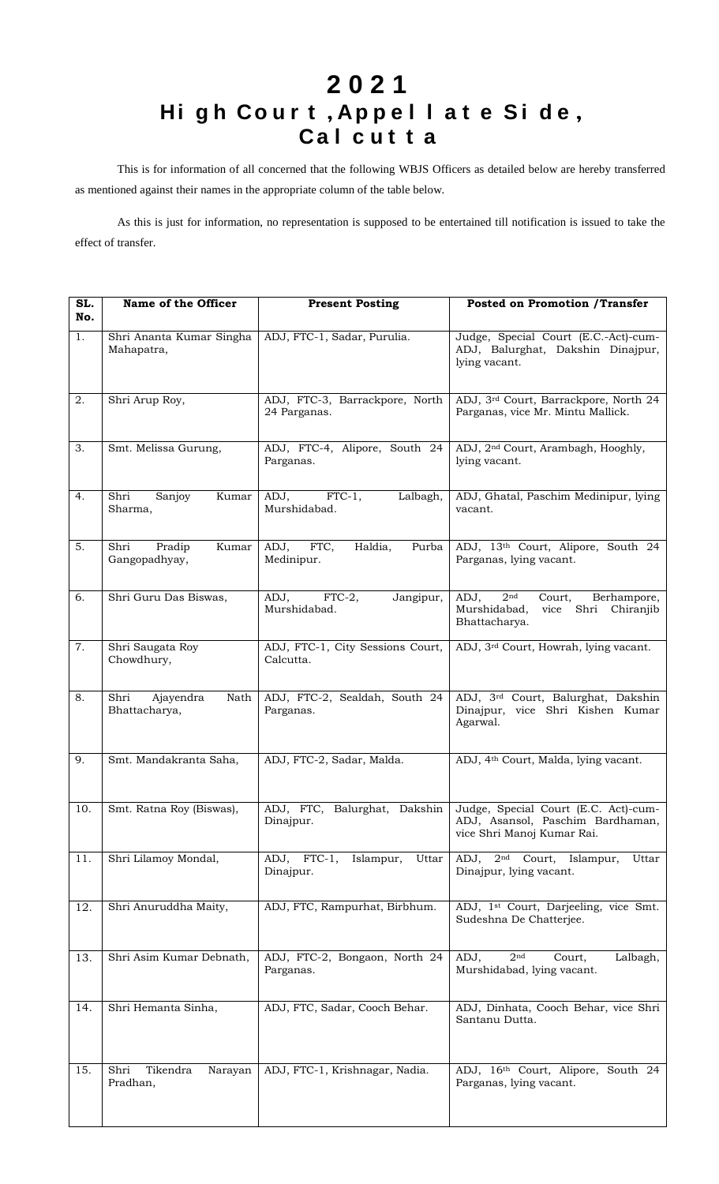## **2 0 2 1 Hi g h C o u r t** , **A p p e l l a t e S i d e** , **C a l c u t t a**

This is for information of all concerned that the following WBJS Officers as detailed below are hereby transferred as mentioned against their names in the appropriate column of the table below.

As this is just for information, no representation is supposed to be entertained till notification is issued to take the effect of transfer.

| SL.<br>No. | Name of the Officer                        | <b>Present Posting</b>                         | <b>Posted on Promotion /Transfer</b>                                                                           |
|------------|--------------------------------------------|------------------------------------------------|----------------------------------------------------------------------------------------------------------------|
| 1.         | Shri Ananta Kumar Singha<br>Mahapatra,     | ADJ, FTC-1, Sadar, Purulia.                    | Judge, Special Court (E.C.-Act)-cum-<br>ADJ, Balurghat, Dakshin Dinajpur,<br>lying vacant.                     |
| 2.         | Shri Arup Roy,                             | ADJ, FTC-3, Barrackpore, North<br>24 Parganas. | ADJ, 3rd Court, Barrackpore, North 24<br>Parganas, vice Mr. Mintu Mallick.                                     |
| 3.         | Smt. Melissa Gurung,                       | ADJ, FTC-4, Alipore, South 24<br>Parganas.     | ADJ, 2 <sup>nd</sup> Court, Arambagh, Hooghly,<br>lying vacant.                                                |
| 4.         | Sanjoy<br>Kumar<br>Shri<br>Sharma,         | $FTC-1$ ,<br>ADJ,<br>Lalbagh,<br>Murshidabad.  | ADJ, Ghatal, Paschim Medinipur, lying<br>vacant.                                                               |
| 5.         | Pradip<br>Kumar<br>Shri<br>Gangopadhyay,   | ADJ,<br>Haldia,<br>FTC,<br>Purba<br>Medinipur. | ADJ, 13th Court, Alipore, South 24<br>Parganas, lying vacant.                                                  |
| 6.         | Shri Guru Das Biswas,                      | FTC-2,<br>ADJ,<br>Jangipur,<br>Murshidabad.    | 2 <sub>nd</sub><br>ADJ,<br>Berhampore,<br>Court,<br>Shri<br>Murshidabad,<br>vice<br>Chiranjib<br>Bhattacharya. |
| 7.         | Shri Saugata Roy<br>Chowdhury,             | ADJ, FTC-1, City Sessions Court,<br>Calcutta.  | ADJ, 3 <sup>rd</sup> Court, Howrah, lying vacant.                                                              |
| 8.         | Nath<br>Shri<br>Ajayendra<br>Bhattacharya, | ADJ, FTC-2, Sealdah, South 24<br>Parganas.     | ADJ, 3rd Court, Balurghat, Dakshin<br>Dinajpur, vice Shri Kishen Kumar<br>Agarwal.                             |
| 9.         | Smt. Mandakranta Saha,                     | ADJ, FTC-2, Sadar, Malda.                      | ADJ, 4 <sup>th</sup> Court, Malda, lying vacant.                                                               |
| 10.        | Smt. Ratna Roy (Biswas),                   | ADJ, FTC, Balurghat, Dakshin<br>Dinajpur.      | Judge, Special Court (E.C. Act)-cum-<br>ADJ, Asansol, Paschim Bardhaman,<br>vice Shri Manoj Kumar Rai.         |
| 11.        | Shri Lilamoy Mondal,                       | Islampur,<br>Uttar<br>ADJ, FTC-1,<br>Dinajpur. | ADJ, 2 <sup>nd</sup> Court, Islampur,<br>Uttar<br>Dinajpur, lying vacant.                                      |
| 12.        | Shri Anuruddha Maity,                      | ADJ, FTC, Rampurhat, Birbhum.                  | ADJ, 1 <sup>st</sup> Court, Darjeeling, vice Smt.<br>Sudeshna De Chatterjee.                                   |
| 13.        | Shri Asim Kumar Debnath,                   | ADJ, FTC-2, Bongaon, North 24<br>Parganas.     | ADJ,<br>2 <sup>nd</sup><br>Lalbagh,<br>Court,<br>Murshidabad, lying vacant.                                    |
| 14.        | Shri Hemanta Sinha,                        | ADJ, FTC, Sadar, Cooch Behar.                  | ADJ, Dinhata, Cooch Behar, vice Shri<br>Santanu Dutta.                                                         |
| 15.        | Tikendra<br>Narayan<br>Shri<br>Pradhan,    | ADJ, FTC-1, Krishnagar, Nadia.                 | ADJ, 16th Court, Alipore, South 24<br>Parganas, lying vacant.                                                  |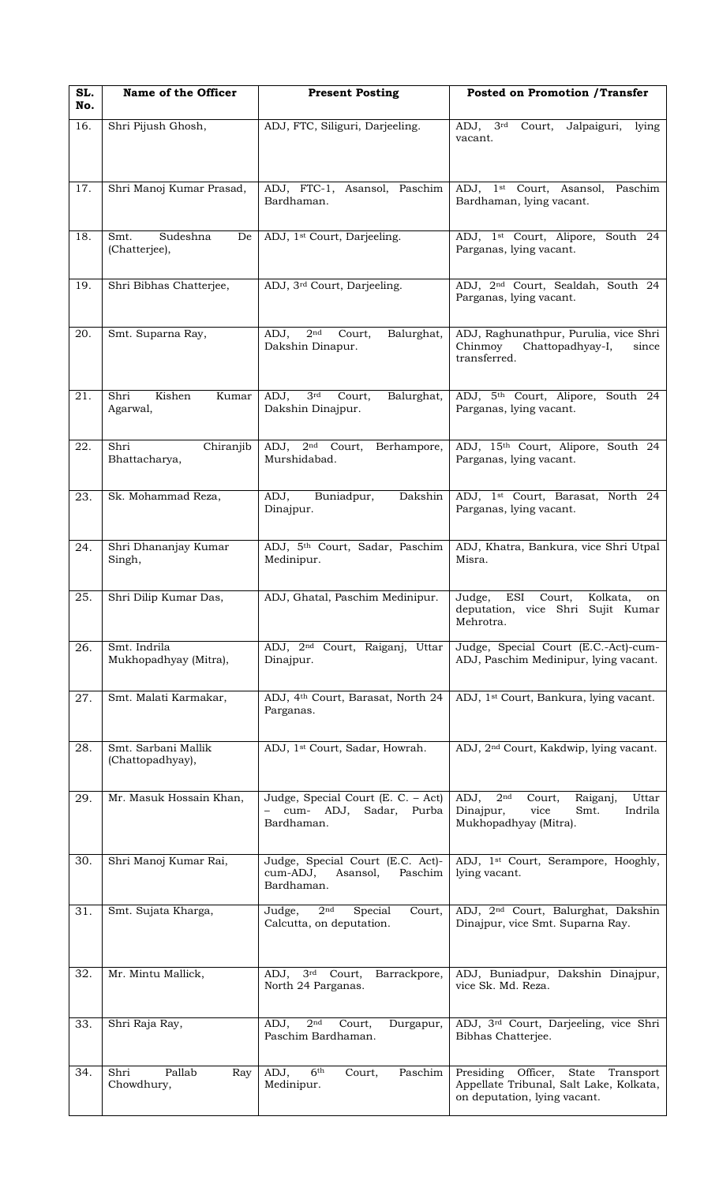| SL.<br>No. | Name of the Officer                     | <b>Present Posting</b>                                                            | <b>Posted on Promotion /Transfer</b>                                                                                    |
|------------|-----------------------------------------|-----------------------------------------------------------------------------------|-------------------------------------------------------------------------------------------------------------------------|
| 16.        | Shri Pijush Ghosh,                      | ADJ, FTC, Siliguri, Darjeeling.                                                   | 3 <sup>rd</sup><br>ADJ,<br>Court,<br>Jalpaiguri,<br>lying<br>vacant.                                                    |
| 17.        | Shri Manoj Kumar Prasad,                | ADJ, FTC-1, Asansol, Paschim<br>Bardhaman.                                        | ADJ, 1 <sup>st</sup> Court, Asansol,<br>Paschim<br>Bardhaman, lying vacant.                                             |
| 18.        | Sudeshna<br>Smt.<br>De<br>(Chatterjee), | ADJ, 1 <sup>st</sup> Court, Darjeeling.                                           | ADJ, 1st Court, Alipore, South 24<br>Parganas, lying vacant.                                                            |
| 19.        | Shri Bibhas Chatterjee,                 | ADJ, 3rd Court, Darjeeling.                                                       | ADJ, 2 <sup>nd</sup> Court, Sealdah, South 24<br>Parganas, lying vacant.                                                |
| 20.        | Smt. Suparna Ray,                       | ADJ,<br>2 <sup>nd</sup><br>Court,<br>Balurghat,<br>Dakshin Dinapur.               | ADJ, Raghunathpur, Purulia, vice Shri<br>Chinmoy<br>Chattopadhyay-I,<br>since<br>transferred.                           |
| 21.        | Shri<br>Kishen<br>Kumar<br>Agarwal,     | 3 <sup>rd</sup><br>ADJ,<br>Court,<br>Balurghat,<br>Dakshin Dinajpur.              | ADJ, 5th Court, Alipore, South 24<br>Parganas, lying vacant.                                                            |
| 22.        | Chiranjib<br>Shri<br>Bhattacharya,      | $ADJ$ , $2nd$ Court,<br>Berhampore,<br>Murshidabad.                               | ADJ, 15th Court, Alipore, South 24<br>Parganas, lying vacant.                                                           |
| 23.        | Sk. Mohammad Reza,                      | Dakshin<br>ADJ,<br>Buniadpur,<br>Dinajpur.                                        | ADJ, 1st Court, Barasat, North 24<br>Parganas, lying vacant.                                                            |
| 24.        | Shri Dhananjay Kumar<br>Singh,          | ADJ, 5 <sup>th</sup> Court, Sadar, Paschim<br>Medinipur.                          | ADJ, Khatra, Bankura, vice Shri Utpal<br>Misra.                                                                         |
| 25.        | Shri Dilip Kumar Das,                   | ADJ, Ghatal, Paschim Medinipur.                                                   | ESI<br>Judge,<br>Court,<br>Kolkata,<br>on<br>deputation, vice Shri Sujit Kumar<br>Mehrotra.                             |
| 26.        | Smt. Indrila<br>Mukhopadhyay (Mitra),   | ADJ, 2 <sup>nd</sup> Court, Raiganj, Uttar<br>Dinajpur.                           | Judge, Special Court (E.C.-Act)-cum-<br>ADJ, Paschim Medinipur, lying vacant.                                           |
| 27.        | Smt. Malati Karmakar,                   | ADJ, 4th Court, Barasat, North 24<br>Parganas.                                    | ADJ, 1 <sup>st</sup> Court, Bankura, lying vacant.                                                                      |
| 28.        | Smt. Sarbani Mallik<br>(Chattopadhyay), | ADJ, 1 <sup>st</sup> Court, Sadar, Howrah.                                        | ADJ, 2 <sup>nd</sup> Court, Kakdwip, lying vacant.                                                                      |
| 29.        | Mr. Masuk Hossain Khan,                 | Judge, Special Court (E. C. - Act)<br>cum- ADJ,<br>Sadar, Purba<br>Bardhaman.     | 2 <sup>nd</sup><br>ADJ,<br>Uttar<br>Court,<br>Raiganj,<br>vice<br>Indrila<br>Dinajpur,<br>Smt.<br>Mukhopadhyay (Mitra). |
| 30.        | Shri Manoj Kumar Rai,                   | Judge, Special Court (E.C. Act)-<br>cum-ADJ,<br>Asansol,<br>Paschim<br>Bardhaman. | ADJ, 1 <sup>st</sup> Court, Serampore, Hooghly,<br>lying vacant.                                                        |
| 31.        | Smt. Sujata Kharga,                     | 2 <sub>nd</sub><br>Special<br>Court,<br>Judge,<br>Calcutta, on deputation.        | ADJ, 2 <sup>nd</sup> Court, Balurghat, Dakshin<br>Dinajpur, vice Smt. Suparna Ray.                                      |
| 32.        | Mr. Mintu Mallick,                      | ADJ, 3rd Court, Barrackpore,<br>North 24 Parganas.                                | ADJ, Buniadpur, Dakshin Dinajpur,<br>vice Sk. Md. Reza.                                                                 |
| 33.        | Shri Raja Ray,                          | 2 <sub>nd</sub><br>ADJ,<br>Court,<br>Durgapur,<br>Paschim Bardhaman.              | ADJ, 3rd Court, Darjeeling, vice Shri<br>Bibhas Chatterjee.                                                             |
| 34.        | Pallab<br>Shri<br>Ray<br>Chowdhury,     | 6 <sup>th</sup><br>ADJ,<br>Court,<br>Paschim<br>Medinipur.                        | Presiding Officer,<br>State Transport<br>Appellate Tribunal, Salt Lake, Kolkata,<br>on deputation, lying vacant.        |